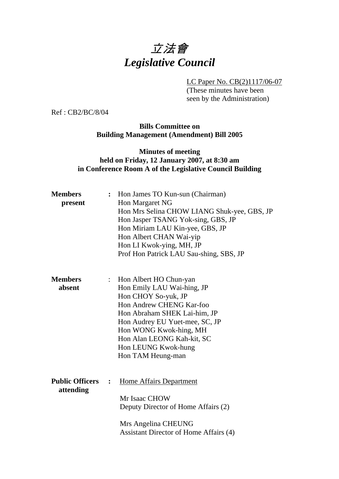# 立法會 *Legislative Council*

LC Paper No. CB(2)1117/06-07

(These minutes have been seen by the Administration)

Ref : CB2/BC/8/04

**Bills Committee on Building Management (Amendment) Bill 2005** 

## **Minutes of meeting held on Friday, 12 January 2007, at 8:30 am in Conference Room A of the Legislative Council Building**

| <b>Members</b>         |                | : Hon James TO Kun-sun (Chairman)           |  |  |  |  |
|------------------------|----------------|---------------------------------------------|--|--|--|--|
| present                |                | Hon Margaret NG                             |  |  |  |  |
|                        |                | Hon Mrs Selina CHOW LIANG Shuk-yee, GBS, JP |  |  |  |  |
|                        |                | Hon Jasper TSANG Yok-sing, GBS, JP          |  |  |  |  |
|                        |                | Hon Miriam LAU Kin-yee, GBS, JP             |  |  |  |  |
|                        |                | Hon Albert CHAN Wai-yip                     |  |  |  |  |
|                        |                | Hon LI Kwok-ying, MH, JP                    |  |  |  |  |
|                        |                | Prof Hon Patrick LAU Sau-shing, SBS, JP     |  |  |  |  |
| <b>Members</b>         | $\ddot{\cdot}$ | Hon Albert HO Chun-yan                      |  |  |  |  |
| absent                 |                | Hon Emily LAU Wai-hing, JP                  |  |  |  |  |
|                        |                | Hon CHOY So-yuk, JP                         |  |  |  |  |
|                        |                | Hon Andrew CHENG Kar-foo                    |  |  |  |  |
|                        |                | Hon Abraham SHEK Lai-him, JP                |  |  |  |  |
|                        |                | Hon Audrey EU Yuet-mee, SC, JP              |  |  |  |  |
|                        |                | Hon WONG Kwok-hing, MH                      |  |  |  |  |
|                        |                | Hon Alan LEONG Kah-kit, SC                  |  |  |  |  |
|                        |                | Hon LEUNG Kwok-hung                         |  |  |  |  |
|                        |                | Hon TAM Heung-man                           |  |  |  |  |
| <b>Public Officers</b> | $\ddot{\cdot}$ | <b>Home Affairs Department</b>              |  |  |  |  |
| attending              |                |                                             |  |  |  |  |
|                        |                | Mr Isaac CHOW                               |  |  |  |  |
|                        |                | Deputy Director of Home Affairs (2)         |  |  |  |  |
|                        |                |                                             |  |  |  |  |
|                        |                | Mrs Angelina CHEUNG                         |  |  |  |  |
|                        |                | Assistant Director of Home Affairs (4)      |  |  |  |  |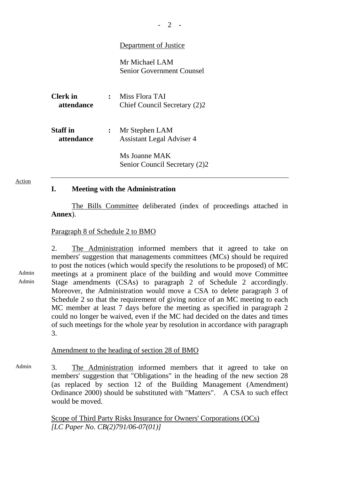## Department of Justice

Mr Michael LAM Senior Government Counsel

| <b>Clerk</b> in<br><i>attendance</i> | Miss Flora TAI<br>Chief Council Secretary (2)2     |
|--------------------------------------|----------------------------------------------------|
| <b>Staff</b> in<br>attendance        | Mr Stephen LAM<br><b>Assistant Legal Adviser 4</b> |
|                                      | Ms Joanne MAK<br>Senior Council Secretary (2)2     |

#### Action

#### **I. Meeting with the Administration**

1. The Bills Committee deliberated (index of proceedings attached in **Annex**).

#### Paragraph 8 of Schedule 2 to BMO

2. The Administration informed members that it agreed to take on members' suggestion that managements committees (MCs) should be required to post the notices (which would specify the resolutions to be proposed) of MC meetings at a prominent place of the building and would move Committee Stage amendments (CSAs) to paragraph 2 of Schedule 2 accordingly. Moreover, the Administration would move a CSA to delete paragraph 3 of Schedule 2 so that the requirement of giving notice of an MC meeting to each MC member at least 7 days before the meeting as specified in paragraph 2 could no longer be waived, even if the MC had decided on the dates and times of such meetings for the whole year by resolution in accordance with paragraph 3.

### Amendment to the heading of section 28 of BMO

Admin 3. The Administration informed members that it agreed to take on members' suggestion that "Obligations" in the heading of the new section 28 (as replaced by section 12 of the Building Management (Amendment) Ordinance 2000) should be substituted with "Matters". A CSA to such effect would be moved.

> Scope of Third Party Risks Insurance for Owners' Corporations (OCs) *[LC Paper No. CB(2)791/06-07(01)]*

# Admin

Admin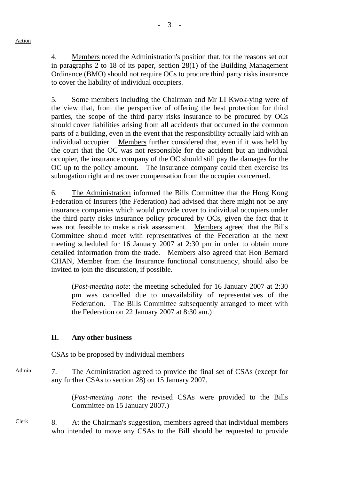4. Members noted the Administration's position that, for the reasons set out in paragraphs 2 to 18 of its paper, section 28(1) of the Building Management Ordinance (BMO) should not require OCs to procure third party risks insurance to cover the liability of individual occupiers.

5. Some members including the Chairman and Mr LI Kwok-ying were of the view that, from the perspective of offering the best protection for third parties, the scope of the third party risks insurance to be procured by OCs should cover liabilities arising from all accidents that occurred in the common parts of a building, even in the event that the responsibility actually laid with an individual occupier. Members further considered that, even if it was held by the court that the OC was not responsible for the accident but an individual occupier, the insurance company of the OC should still pay the damages for the OC up to the policy amount. The insurance company could then exercise its subrogation right and recover compensation from the occupier concerned.

6. The Administration informed the Bills Committee that the Hong Kong Federation of Insurers (the Federation) had advised that there might not be any insurance companies which would provide cover to individual occupiers under the third party risks insurance policy procured by OCs, given the fact that it was not feasible to make a risk assessment. Members agreed that the Bills Committee should meet with representatives of the Federation at the next meeting scheduled for 16 January 2007 at 2:30 pm in order to obtain more detailed information from the trade. Members also agreed that Hon Bernard CHAN, Member from the Insurance functional constituency, should also be invited to join the discussion, if possible.

 (*Post-meeting note*: the meeting scheduled for 16 January 2007 at 2:30 pm was cancelled due to unavailability of representatives of the Federation. The Bills Committee subsequently arranged to meet with the Federation on 22 January 2007 at 8:30 am.)

# **II. Any other business**

CSAs to be proposed by individual members

Admin 7. The Administration agreed to provide the final set of CSAs (except for any further CSAs to section 28) on 15 January 2007.

> (*Post-meeting note*: the revised CSAs were provided to the Bills Committee on 15 January 2007.)

Clerk 8. At the Chairman's suggestion, members agreed that individual members who intended to move any CSAs to the Bill should be requested to provide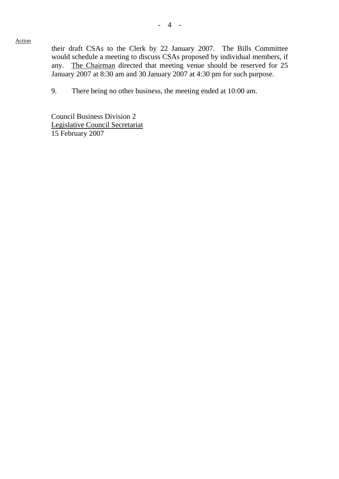Action

their draft CSAs to the Clerk by 22 January 2007. The Bills Committee would schedule a meeting to discuss CSAs proposed by individual members, if any. The Chairman directed that meeting venue should be reserved for 25 January 2007 at 8:30 am and 30 January 2007 at 4:30 pm for such purpose.

9. There being no other business, the meeting ended at 10:00 am.

Council Business Division 2 Legislative Council Secretariat 15 February 2007